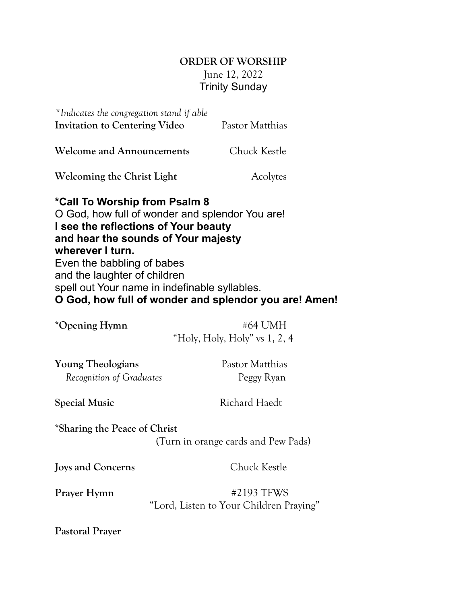## **ORDER OF WORSHIP** June 12, 2022 Trinity Sunday

| *Indicates the congregation stand if able<br><b>Invitation to Centering Video</b>                                                                                                                                                                                                                                                                           | Pastor Matthias                            |
|-------------------------------------------------------------------------------------------------------------------------------------------------------------------------------------------------------------------------------------------------------------------------------------------------------------------------------------------------------------|--------------------------------------------|
| <b>Welcome and Announcements</b>                                                                                                                                                                                                                                                                                                                            | Chuck Kestle                               |
| <b>Welcoming the Christ Light</b>                                                                                                                                                                                                                                                                                                                           | Acolytes                                   |
| *Call To Worship from Psalm 8<br>O God, how full of wonder and splendor You are!<br>I see the reflections of Your beauty<br>and hear the sounds of Your majesty<br>wherever I turn.<br>Even the babbling of babes<br>and the laughter of children<br>spell out Your name in indefinable syllables.<br>O God, how full of wonder and splendor you are! Amen! |                                            |
| *Opening Hymn                                                                                                                                                                                                                                                                                                                                               | #64 UMH<br>"Holy, Holy, Holy" vs $1, 2, 4$ |
| <b>Young Theologians</b><br>Recognition of Graduates                                                                                                                                                                                                                                                                                                        | Pastor Matthias<br>Peggy Ryan              |
| <b>Special Music</b>                                                                                                                                                                                                                                                                                                                                        | <b>Richard Haedt</b>                       |
| *Sharing the Peace of Christ                                                                                                                                                                                                                                                                                                                                | (Turn in orange cards and Pew Pads)        |
| Joys and Concerns                                                                                                                                                                                                                                                                                                                                           | Chuck Kestle                               |

Prayer Hymn **#2193 TFWS** "Lord, Listen to Your Children Praying"

**Pastoral Prayer**